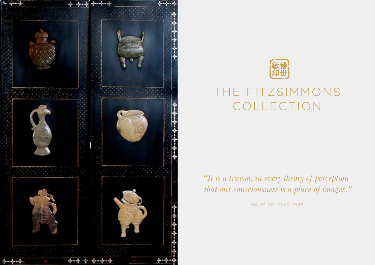



## THE FITZSIMMONS COLLECTION

*"It is a truism, in every theory of perception that our consciousness is a place of images."*

HANS BELTING 1998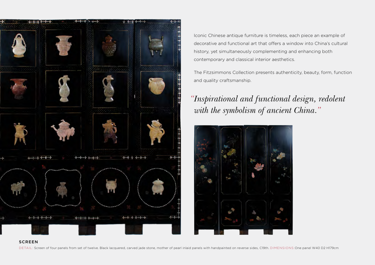

Iconic Chinese antique furniture is timeless, each piece an example of decorative and functional art that offers a window into China's cultural history, yet simultaneously complementing and enhancing both contemporary and classical interior aesthetics.

The Fitzsimmons Collection presents authenticity, beauty, form, function and quality craftsmanship.

## *"Inspirational and functional design, redolent with the symbolism of ancient China."*



## **SCREEN**

DETAIL: Screen of four panels from set of twelve. Black lacquered, carved jade stone, mother of pearl inlaid panels with handpainted on reverse sides, C19th. DIMENSIONS:One panel W40 D2 H179cm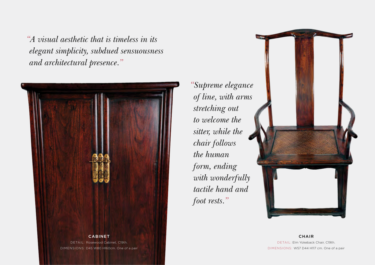*"A visual aesthetic that is timeless in its elegant simplicity, subdued sensuousness and architectural presence."*



*"Supreme elegance of line, with arms stretching out to welcome the sitter, while the chair follows the human form, ending with wonderfully tactile hand and foot rests."*



**CHAIR** DETAIL: Elm Yokeback Chair, C19th. DIMENSIONS: W57 D44 H117 cm. One of a pair